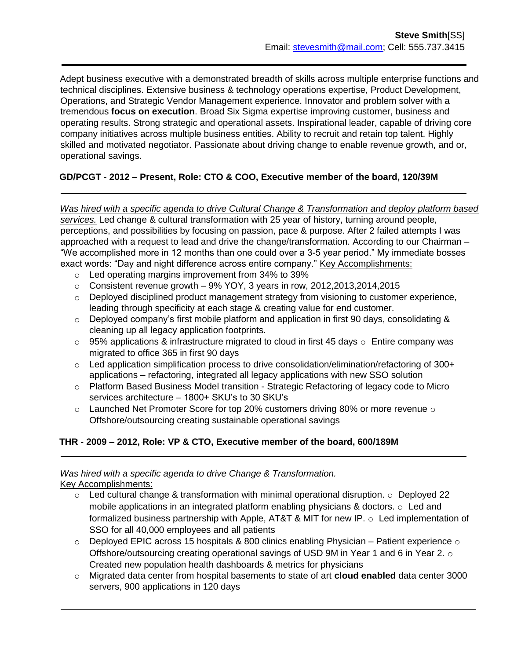Adept business executive with a demonstrated breadth of skills across multiple enterprise functions and technical disciplines. Extensive business & technology operations expertise, Product Development, Operations, and Strategic Vendor Management experience. Innovator and problem solver with a tremendous **focus on execution**. Broad Six Sigma expertise improving customer, business and operating results. Strong strategic and operational assets. Inspirational leader, capable of driving core company initiatives across multiple business entities. Ability to recruit and retain top talent. Highly skilled and motivated negotiator. Passionate about driving change to enable revenue growth, and or, operational savings.

# **GD/PCGT - 2012 – Present, Role: CTO & COO, Executive member of the board, 120/39M**

*Was hired with a specific agenda to drive Cultural Change & Transformation and deploy platform based services.* Led change & cultural transformation with 25 year of history, turning around people, perceptions, and possibilities by focusing on passion, pace & purpose. After 2 failed attempts I was approached with a request to lead and drive the change/transformation. According to our Chairman – "We accomplished more in 12 months than one could over a 3-5 year period." My immediate bosses exact words: "Day and night difference across entire company." Key Accomplishments:

- o Led operating margins improvement from 34% to 39%
- $\circ$  Consistent revenue growth 9% YOY, 3 years in row, 2012, 2013, 2014, 2015
- $\circ$  Deployed disciplined product management strategy from visioning to customer experience, leading through specificity at each stage & creating value for end customer.
- $\circ$  Deployed company's first mobile platform and application in first 90 days, consolidating & cleaning up all legacy application footprints.
- $\circ$  95% applications & infrastructure migrated to cloud in first 45 days  $\circ$  Entire company was migrated to office 365 in first 90 days
- $\circ$  Led application simplification process to drive consolidation/elimination/refactoring of 300+ applications – refactoring, integrated all legacy applications with new SSO solution
- o Platform Based Business Model transition Strategic Refactoring of legacy code to Micro services architecture – 1800+ SKU's to 30 SKU's
- $\circ$  Launched Net Promoter Score for top 20% customers driving 80% or more revenue  $\circ$ Offshore/outsourcing creating sustainable operational savings

### **THR - 2009 – 2012, Role: VP & CTO, Executive member of the board, 600/189M**

# *Was hired with a specific agenda to drive Change & Transformation.*

Key Accomplishments:

- $\circ$  Led cultural change & transformation with minimal operational disruption.  $\circ$  Deployed 22 mobile applications in an integrated platform enabling physicians & doctors.  $\circ$  Led and formalized business partnership with Apple, AT&T & MIT for new IP. o Led implementation of SSO for all 40,000 employees and all patients
- $\circ$  Deployed EPIC across 15 hospitals & 800 clinics enabling Physician Patient experience  $\circ$ Offshore/outsourcing creating operational savings of USD 9M in Year 1 and 6 in Year 2.  $\circ$ Created new population health dashboards & metrics for physicians
- o Migrated data center from hospital basements to state of art **cloud enabled** data center 3000 servers, 900 applications in 120 days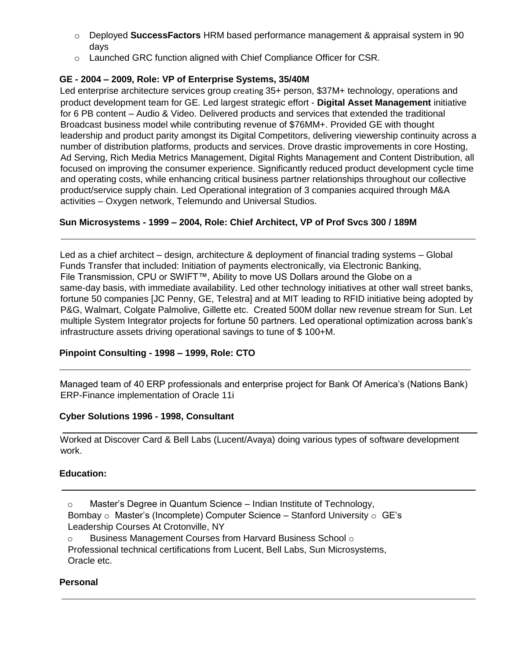- o Deployed **SuccessFactors** HRM based performance management & appraisal system in 90 days
- o Launched GRC function aligned with Chief Compliance Officer for CSR.

## **GE - 2004 – 2009, Role: VP of Enterprise Systems, 35/40M**

Led enterprise architecture services group creating 35+ person, \$37M+ technology, operations and product development team for GE. Led largest strategic effort - **Digital Asset Management** initiative for 6 PB content – Audio & Video. Delivered products and services that extended the traditional Broadcast business model while contributing revenue of \$76MM+. Provided GE with thought leadership and product parity amongst its Digital Competitors, delivering viewership continuity across a number of distribution platforms, products and services. Drove drastic improvements in core Hosting, Ad Serving, Rich Media Metrics Management, Digital Rights Management and Content Distribution, all focused on improving the consumer experience. Significantly reduced product development cycle time and operating costs, while enhancing critical business partner relationships throughout our collective product/service supply chain. Led Operational integration of 3 companies acquired through M&A activities – Oxygen network, Telemundo and Universal Studios.

# **Sun Microsystems - 1999 – 2004, Role: Chief Architect, VP of Prof Svcs 300 / 189M**

Led as a chief architect – design, architecture & deployment of financial trading systems – Global Funds Transfer that included: Initiation of payments electronically, via Electronic Banking, File Transmission, CPU or SWIFT™, Ability to move US Dollars around the Globe on a same-day basis, with immediate availability. Led other technology initiatives at other wall street banks, fortune 50 companies [JC Penny, GE, Telestra] and at MIT leading to RFID initiative being adopted by P&G, Walmart, Colgate Palmolive, Gillette etc. Created 500M dollar new revenue stream for Sun. Let multiple System Integrator projects for fortune 50 partners. Led operational optimization across bank's infrastructure assets driving operational savings to tune of \$ 100+M.

### **Pinpoint Consulting - 1998 – 1999, Role: CTO**

Managed team of 40 ERP professionals and enterprise project for Bank Of America's (Nations Bank) ERP-Finance implementation of Oracle 11i

### **Cyber Solutions 1996 - 1998, Consultant**

Worked at Discover Card & Bell Labs (Lucent/Avaya) doing various types of software development work.

### **Education:**

- o Master's Degree in Quantum Science Indian Institute of Technology,
- Bombay  $\circ$  Master's (Incomplete) Computer Science Stanford University  $\circ$  GE's Leadership Courses At Crotonville, NY
- $\circ$  Business Management Courses from Harvard Business School  $\circ$

Professional technical certifications from Lucent, Bell Labs, Sun Microsystems, Oracle etc.

### **Personal**